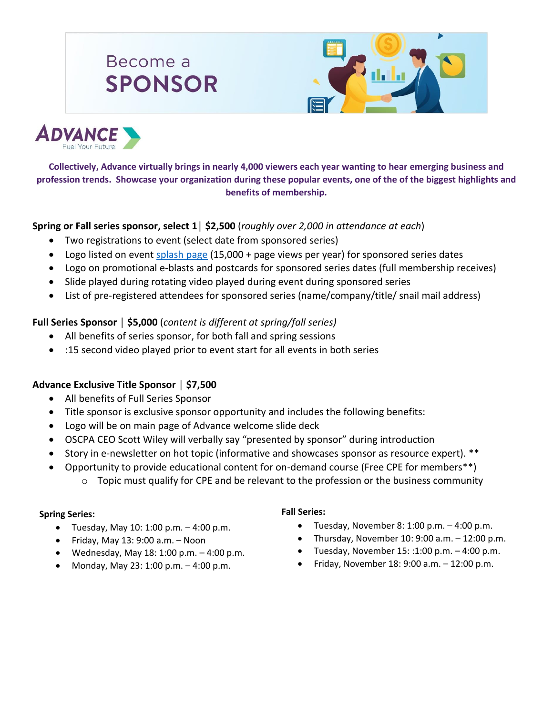# Become a **SPONSOR**





**Collectively, Advance virtually brings in nearly 4,000 viewers each year wanting to hear emerging business and profession trends. Showcase your organization during these popular events, one of the of the biggest highlights and benefits of membership.**

## **Spring or Fall series sponsor, select 1**│ **\$2,500** (*roughly over 2,000 in attendance at each*)

- Two registrations to event (select date from sponsored series)
- Logo listed on event [splash page](https://ohiocpa.com/cpe/complimentary-cpe) (15,000 + page views per year) for sponsored series dates
- Logo on promotional e-blasts and postcards for sponsored series dates (full membership receives)
- Slide played during rotating video played during event during sponsored series
- List of pre-registered attendees for sponsored series (name/company/title/ snail mail address)

### **Full Series Sponsor │ \$5,000** (*content is different at spring/fall series)*

- All benefits of series sponsor, for both fall and spring sessions
- :15 second video played prior to event start for all events in both series

#### **Advance Exclusive Title Sponsor │ \$7,500**

- All benefits of Full Series Sponsor
- Title sponsor is exclusive sponsor opportunity and includes the following benefits:
- Logo will be on main page of Advance welcome slide deck
- OSCPA CEO Scott Wiley will verbally say "presented by sponsor" during introduction
- Story in e-newsletter on hot topic (informative and showcases sponsor as resource expert). \*\*
- Opportunity to provide educational content for on-demand course (Free CPE for members\*\*)
	- $\circ$  Topic must qualify for CPE and be relevant to the profession or the business community

#### **Spring Series:**

- Tuesday, May 10: 1:00 p.m.  $-$  4:00 p.m.
- Friday, May  $13: 9:00$  a.m.  $-$  Noon
- Wednesday, May 18: 1:00 p.m. 4:00 p.m.
- Monday, May 23: 1:00 p.m. 4:00 p.m.

#### **Fall Series:**

- Tuesday, November 8: 1:00 p.m.  $-$  4:00 p.m.
- Thursday, November  $10: 9:00$  a.m.  $-12:00$  p.m.
- Tuesday, November  $15: 1:00$  p.m.  $-4:00$  p.m.
- Friday, November 18: 9:00 a.m. 12:00 p.m.